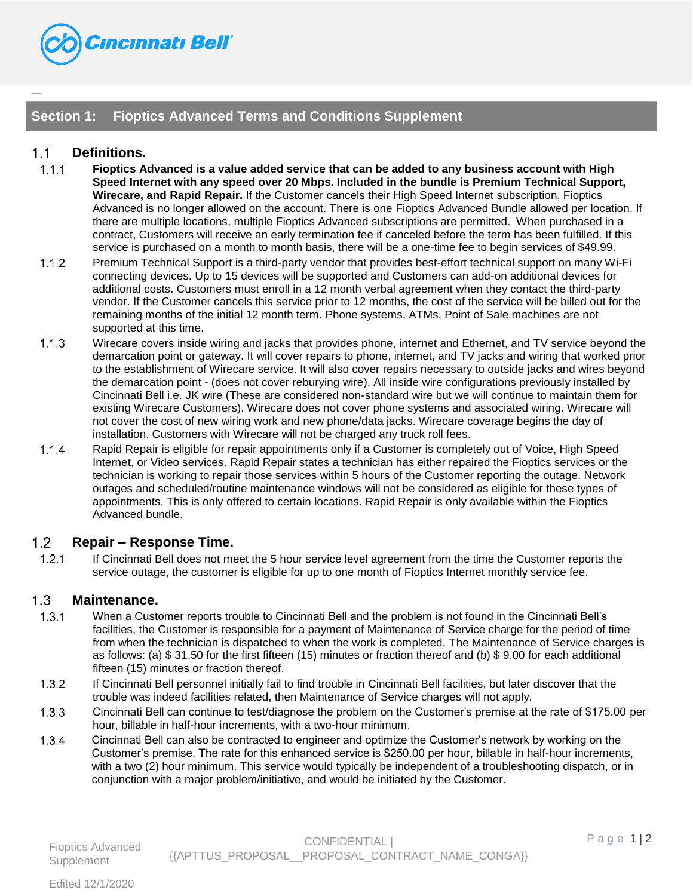

## **Section 1: Fioptics Advanced Terms and Conditions Supplement**

## $1<sub>1</sub>$ **Definitions.**

{{TableHi de:Fioptics}}

- $1.1.1$ **Fioptics Advanced is a value added service that can be added to any business account with High Speed Internet with any speed over 20 Mbps. Included in the bundle is Premium Technical Support, Wirecare, and Rapid Repair.** If the Customer cancels their High Speed Internet subscription, Fioptics Advanced is no longer allowed on the account. There is one Fioptics Advanced Bundle allowed per location. If there are multiple locations, multiple Fioptics Advanced subscriptions are permitted. When purchased in a contract, Customers will receive an early termination fee if canceled before the term has been fulfilled. If this service is purchased on a month to month basis, there will be a one-time fee to begin services of \$49.99.
- $1.1.2$ Premium Technical Support is a third-party vendor that provides best-effort technical support on many Wi-Fi connecting devices. Up to 15 devices will be supported and Customers can add-on additional devices for additional costs. Customers must enroll in a 12 month verbal agreement when they contact the third-party vendor. If the Customer cancels this service prior to 12 months, the cost of the service will be billed out for the remaining months of the initial 12 month term. Phone systems, ATMs, Point of Sale machines are not supported at this time.
- $1.1.3$ Wirecare covers inside wiring and jacks that provides phone, internet and Ethernet, and TV service beyond the demarcation point or gateway. It will cover repairs to phone, internet, and TV jacks and wiring that worked prior to the establishment of Wirecare service. It will also cover repairs necessary to outside jacks and wires beyond the demarcation point - (does not cover reburying wire). All inside wire configurations previously installed by Cincinnati Bell i.e. JK wire (These are considered non-standard wire but we will continue to maintain them for existing Wirecare Customers). Wirecare does not cover phone systems and associated wiring. Wirecare will not cover the cost of new wiring work and new phone/data jacks. Wirecare coverage begins the day of installation. Customers with Wirecare will not be charged any truck roll fees.
- $1.1.4$ Rapid Repair is eligible for repair appointments only if a Customer is completely out of Voice, High Speed Internet, or Video services. Rapid Repair states a technician has either repaired the Fioptics services or the technician is working to repair those services within 5 hours of the Customer reporting the outage. Network outages and scheduled/routine maintenance windows will not be considered as eligible for these types of appointments. This is only offered to certain locations. Rapid Repair is only available within the Fioptics Advanced bundle.

## $1.2<sub>2</sub>$ **Repair – Response Time.**

 $1.2.1$ If Cincinnati Bell does not meet the 5 hour service level agreement from the time the Customer reports the service outage, the customer is eligible for up to one month of Fioptics Internet monthly service fee.

## $1.3$ **Maintenance.**

- $1.3.1$ When a Customer reports trouble to Cincinnati Bell and the problem is not found in the Cincinnati Bell's facilities, the Customer is responsible for a payment of Maintenance of Service charge for the period of time from when the technician is dispatched to when the work is completed. The Maintenance of Service charges is as follows: (a) \$ 31.50 for the first fifteen (15) minutes or fraction thereof and (b) \$ 9.00 for each additional fifteen (15) minutes or fraction thereof.
- $1.3.2$ If Cincinnati Bell personnel initially fail to find trouble in Cincinnati Bell facilities, but later discover that the trouble was indeed facilities related, then Maintenance of Service charges will not apply.
- $1.3.3$ Cincinnati Bell can continue to test/diagnose the problem on the Customer's premise at the rate of \$175.00 per hour, billable in half-hour increments, with a two-hour minimum.
- $1.3.4$ Cincinnati Bell can also be contracted to engineer and optimize the Customer's network by working on the Customer's premise. The rate for this enhanced service is \$250.00 per hour, billable in half-hour increments, with a two (2) hour minimum. This service would typically be independent of a troubleshooting dispatch, or in conjunction with a major problem/initiative, and would be initiated by the Customer.